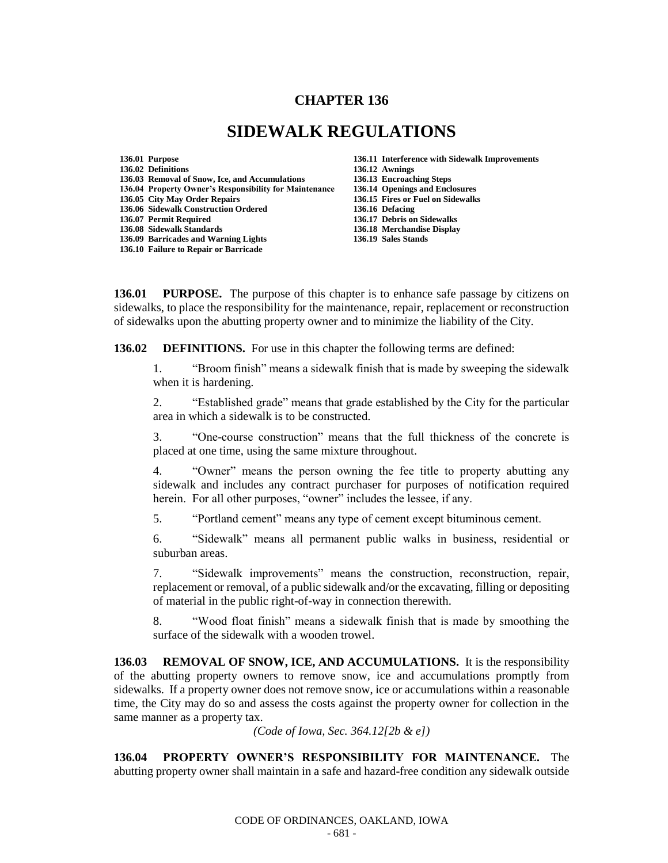## **CHAPTER 136**

## **SIDEWALK REGULATIONS**

**136.01 Purpose 136.11 Interference with Sidewalk Improvements 136.02 Definitions 136.12 Awnings 136.03 Removal of Snow, Ice, and Accumulations 136.04 Property Owner's Responsibility for Maintenance 136.14 Openings and Enclosures 136.06 Sidewalk Construction Ordered 136.16 Defacing 136.08 Sidewalk Standards 136.18 Merchandise Display 136.09 Barricades and Warning Lights 136.19 Sales Stands 136.10 Failure to Repair or Barricade**

**136.05 City May Order Repairs 136.15 Fires or Fuel on Sidewalks**  136.17 Debris on Sidewalks

**136.01 PURPOSE.** The purpose of this chapter is to enhance safe passage by citizens on sidewalks, to place the responsibility for the maintenance, repair, replacement or reconstruction of sidewalks upon the abutting property owner and to minimize the liability of the City.

**136.02 DEFINITIONS.** For use in this chapter the following terms are defined:

1. "Broom finish" means a sidewalk finish that is made by sweeping the sidewalk when it is hardening.

2. "Established grade" means that grade established by the City for the particular area in which a sidewalk is to be constructed.

3. "One-course construction" means that the full thickness of the concrete is placed at one time, using the same mixture throughout.

4. "Owner" means the person owning the fee title to property abutting any sidewalk and includes any contract purchaser for purposes of notification required herein. For all other purposes, "owner" includes the lessee, if any.

5. "Portland cement" means any type of cement except bituminous cement.

6. "Sidewalk" means all permanent public walks in business, residential or suburban areas.

7. "Sidewalk improvements" means the construction, reconstruction, repair, replacement or removal, of a public sidewalk and/or the excavating, filling or depositing of material in the public right-of-way in connection therewith.

8. "Wood float finish" means a sidewalk finish that is made by smoothing the surface of the sidewalk with a wooden trowel.

**136.03 REMOVAL OF SNOW, ICE, AND ACCUMULATIONS.** It is the responsibility of the abutting property owners to remove snow, ice and accumulations promptly from sidewalks. If a property owner does not remove snow, ice or accumulations within a reasonable time, the City may do so and assess the costs against the property owner for collection in the same manner as a property tax.

*(Code of Iowa, Sec. 364.12[2b & e])*

**136.04 PROPERTY OWNER'S RESPONSIBILITY FOR MAINTENANCE.** The abutting property owner shall maintain in a safe and hazard-free condition any sidewalk outside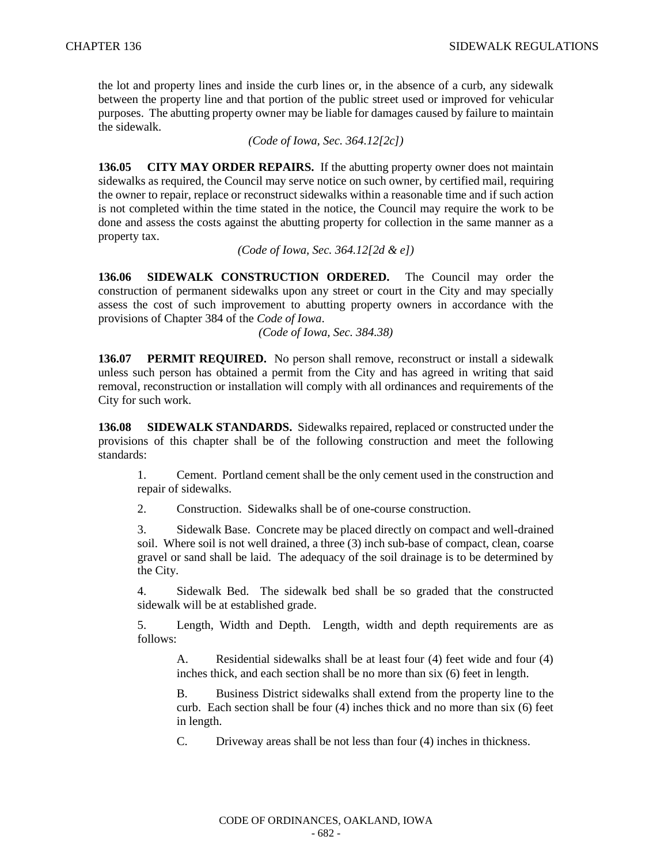the lot and property lines and inside the curb lines or, in the absence of a curb, any sidewalk between the property line and that portion of the public street used or improved for vehicular purposes. The abutting property owner may be liable for damages caused by failure to maintain the sidewalk.

*(Code of Iowa, Sec. 364.12[2c])*

**136.05 CITY MAY ORDER REPAIRS.** If the abutting property owner does not maintain sidewalks as required, the Council may serve notice on such owner, by certified mail, requiring the owner to repair, replace or reconstruct sidewalks within a reasonable time and if such action is not completed within the time stated in the notice, the Council may require the work to be done and assess the costs against the abutting property for collection in the same manner as a property tax.

*(Code of Iowa, Sec. 364.12[2d & e])* 

**136.06 SIDEWALK CONSTRUCTION ORDERED.** The Council may order the construction of permanent sidewalks upon any street or court in the City and may specially assess the cost of such improvement to abutting property owners in accordance with the provisions of Chapter 384 of the *Code of Iowa*.

*(Code of Iowa, Sec. 384.38)*

**136.07 PERMIT REQUIRED.** No person shall remove, reconstruct or install a sidewalk unless such person has obtained a permit from the City and has agreed in writing that said removal, reconstruction or installation will comply with all ordinances and requirements of the City for such work.

**136.08 SIDEWALK STANDARDS.** Sidewalks repaired, replaced or constructed under the provisions of this chapter shall be of the following construction and meet the following standards:

1. Cement. Portland cement shall be the only cement used in the construction and repair of sidewalks.

2. Construction. Sidewalks shall be of one-course construction.

3. Sidewalk Base. Concrete may be placed directly on compact and well-drained soil. Where soil is not well drained, a three (3) inch sub-base of compact, clean, coarse gravel or sand shall be laid. The adequacy of the soil drainage is to be determined by the City.

4. Sidewalk Bed. The sidewalk bed shall be so graded that the constructed sidewalk will be at established grade.

5. Length, Width and Depth. Length, width and depth requirements are as follows:

A. Residential sidewalks shall be at least four (4) feet wide and four (4) inches thick, and each section shall be no more than six (6) feet in length.

B. Business District sidewalks shall extend from the property line to the curb. Each section shall be four (4) inches thick and no more than six (6) feet in length.

C. Driveway areas shall be not less than four (4) inches in thickness.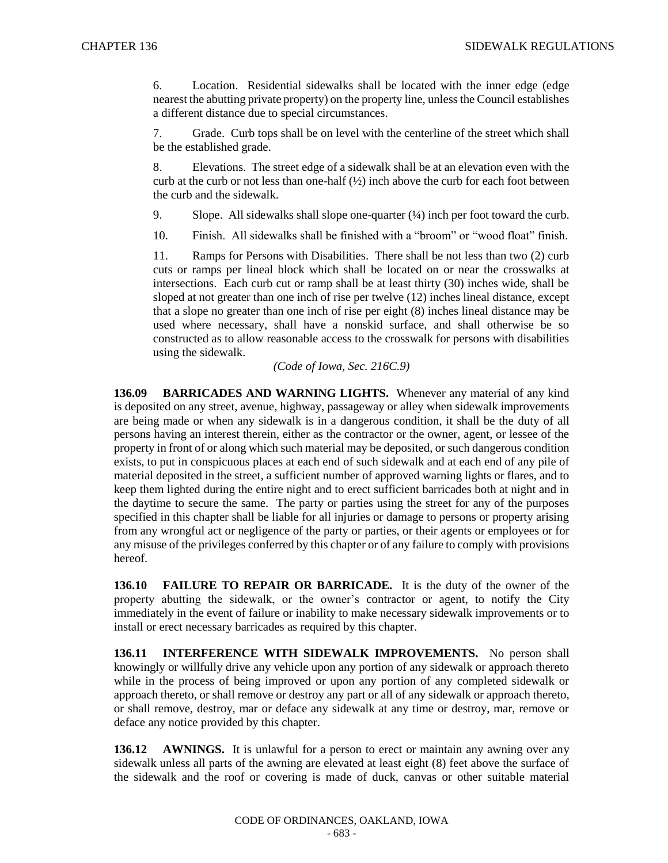6. Location. Residential sidewalks shall be located with the inner edge (edge nearest the abutting private property) on the property line, unless the Council establishes a different distance due to special circumstances.

7. Grade. Curb tops shall be on level with the centerline of the street which shall be the established grade.

8. Elevations. The street edge of a sidewalk shall be at an elevation even with the curb at the curb or not less than one-half (½) inch above the curb for each foot between the curb and the sidewalk.

- 9. Slope. All sidewalks shall slope one-quarter  $(44)$  inch per foot toward the curb.
- 10. Finish. All sidewalks shall be finished with a "broom" or "wood float" finish.

11. Ramps for Persons with Disabilities. There shall be not less than two (2) curb cuts or ramps per lineal block which shall be located on or near the crosswalks at intersections. Each curb cut or ramp shall be at least thirty (30) inches wide, shall be sloped at not greater than one inch of rise per twelve (12) inches lineal distance, except that a slope no greater than one inch of rise per eight (8) inches lineal distance may be used where necessary, shall have a nonskid surface, and shall otherwise be so constructed as to allow reasonable access to the crosswalk for persons with disabilities using the sidewalk.

*(Code of Iowa, Sec. 216C.9)*

**136.09 BARRICADES AND WARNING LIGHTS.** Whenever any material of any kind is deposited on any street, avenue, highway, passageway or alley when sidewalk improvements are being made or when any sidewalk is in a dangerous condition, it shall be the duty of all persons having an interest therein, either as the contractor or the owner, agent, or lessee of the property in front of or along which such material may be deposited, or such dangerous condition exists, to put in conspicuous places at each end of such sidewalk and at each end of any pile of material deposited in the street, a sufficient number of approved warning lights or flares, and to keep them lighted during the entire night and to erect sufficient barricades both at night and in the daytime to secure the same. The party or parties using the street for any of the purposes specified in this chapter shall be liable for all injuries or damage to persons or property arising from any wrongful act or negligence of the party or parties, or their agents or employees or for any misuse of the privileges conferred by this chapter or of any failure to comply with provisions hereof.

**136.10 FAILURE TO REPAIR OR BARRICADE.** It is the duty of the owner of the property abutting the sidewalk, or the owner's contractor or agent, to notify the City immediately in the event of failure or inability to make necessary sidewalk improvements or to install or erect necessary barricades as required by this chapter.

**136.11 INTERFERENCE WITH SIDEWALK IMPROVEMENTS.** No person shall knowingly or willfully drive any vehicle upon any portion of any sidewalk or approach thereto while in the process of being improved or upon any portion of any completed sidewalk or approach thereto, or shall remove or destroy any part or all of any sidewalk or approach thereto, or shall remove, destroy, mar or deface any sidewalk at any time or destroy, mar, remove or deface any notice provided by this chapter.

**136.12 AWNINGS.** It is unlawful for a person to erect or maintain any awning over any sidewalk unless all parts of the awning are elevated at least eight (8) feet above the surface of the sidewalk and the roof or covering is made of duck, canvas or other suitable material